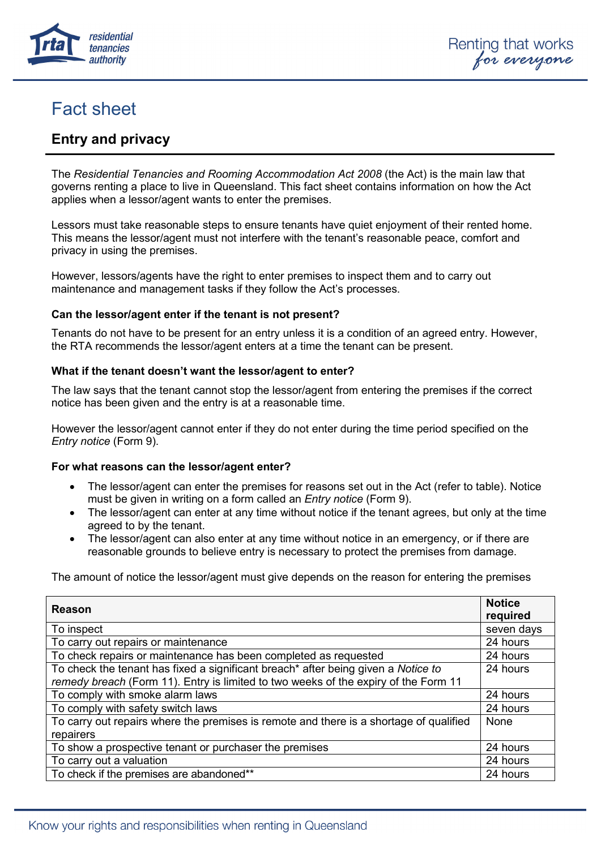

# Fact sheet

# **Entry and privacy**

The *Residential Tenancies and Rooming Accommodation Act 2008* (the Act) is the main law that governs renting a place to live in Queensland. This fact sheet contains information on how the Act applies when a lessor/agent wants to enter the premises.

Lessors must take reasonable steps to ensure tenants have quiet enjoyment of their rented home. This means the lessor/agent must not interfere with the tenant's reasonable peace, comfort and privacy in using the premises.

However, lessors/agents have the right to enter premises to inspect them and to carry out maintenance and management tasks if they follow the Act's processes.

### **Can the lessor/agent enter if the tenant is not present?**

Tenants do not have to be present for an entry unless it is a condition of an agreed entry. However, the RTA recommends the lessor/agent enters at a time the tenant can be present.

### **What if the tenant doesn't want the lessor/agent to enter?**

The law says that the tenant cannot stop the lessor/agent from entering the premises if the correct notice has been given and the entry is at a reasonable time.

However the lessor/agent cannot enter if they do not enter during the time period specified on the *Entry notice* (Form 9).

### **For what reasons can the lessor/agent enter?**

- The lessor/agent can enter the premises for reasons set out in the Act (refer to table). Notice must be given in writing on a form called an *Entry notice* (Form 9).
- The lessor/agent can enter at any time without notice if the tenant agrees, but only at the time agreed to by the tenant.
- The lessor/agent can also enter at any time without notice in an emergency, or if there are reasonable grounds to believe entry is necessary to protect the premises from damage.

The amount of notice the lessor/agent must give depends on the reason for entering the premises

| Reason                                                                                                                                                                   | <b>Notice</b><br>required |
|--------------------------------------------------------------------------------------------------------------------------------------------------------------------------|---------------------------|
| To inspect                                                                                                                                                               | seven days                |
| To carry out repairs or maintenance                                                                                                                                      | 24 hours                  |
| To check repairs or maintenance has been completed as requested                                                                                                          | 24 hours                  |
| To check the tenant has fixed a significant breach* after being given a Notice to<br>remedy breach (Form 11). Entry is limited to two weeks of the expiry of the Form 11 | 24 hours                  |
| To comply with smoke alarm laws                                                                                                                                          | 24 hours                  |
| To comply with safety switch laws                                                                                                                                        | 24 hours                  |
| To carry out repairs where the premises is remote and there is a shortage of qualified<br>repairers                                                                      | None                      |
| To show a prospective tenant or purchaser the premises                                                                                                                   | 24 hours                  |
| To carry out a valuation                                                                                                                                                 | 24 hours                  |
| To check if the premises are abandoned**                                                                                                                                 | 24 hours                  |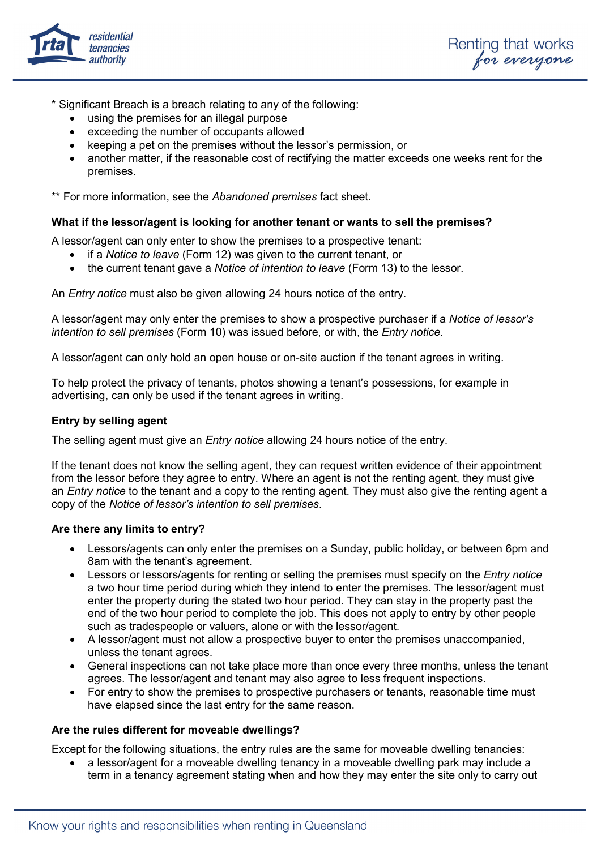

\* Significant Breach is a breach relating to any of the following:

- using the premises for an illegal purpose
- exceeding the number of occupants allowed
- keeping a pet on the premises without the lessor's permission, or
- another matter, if the reasonable cost of rectifying the matter exceeds one weeks rent for the premises.

\*\* For more information, see the *Abandoned premises* fact sheet.

## **What if the lessor/agent is looking for another tenant or wants to sell the premises?**

A lessor/agent can only enter to show the premises to a prospective tenant:

- if a *Notice to leave* (Form 12) was given to the current tenant, or
- the current tenant gave a *Notice of intention to leave* (Form 13) to the lessor.

An *Entry notice* must also be given allowing 24 hours notice of the entry.

A lessor/agent may only enter the premises to show a prospective purchaser if a *Notice of lessor's intention to sell premises* (Form 10) was issued before, or with, the *Entry notice*.

A lessor/agent can only hold an open house or on-site auction if the tenant agrees in writing.

To help protect the privacy of tenants, photos showing a tenant's possessions, for example in advertising, can only be used if the tenant agrees in writing.

### **Entry by selling agent**

The selling agent must give an *Entry notice* allowing 24 hours notice of the entry.

If the tenant does not know the selling agent, they can request written evidence of their appointment from the lessor before they agree to entry. Where an agent is not the renting agent, they must give an *Entry notice* to the tenant and a copy to the renting agent. They must also give the renting agent a copy of the *Notice of lessor's intention to sell premises*.

### **Are there any limits to entry?**

- Lessors/agents can only enter the premises on a Sunday, public holiday, or between 6pm and 8am with the tenant's agreement.
- Lessors or lessors/agents for renting or selling the premises must specify on the *Entry notice* a two hour time period during which they intend to enter the premises. The lessor/agent must enter the property during the stated two hour period. They can stay in the property past the end of the two hour period to complete the job. This does not apply to entry by other people such as tradespeople or valuers, alone or with the lessor/agent.
- A lessor/agent must not allow a prospective buyer to enter the premises unaccompanied, unless the tenant agrees.
- General inspections can not take place more than once every three months, unless the tenant agrees. The lessor/agent and tenant may also agree to less frequent inspections.
- For entry to show the premises to prospective purchasers or tenants, reasonable time must have elapsed since the last entry for the same reason.

### **Are the rules different for moveable dwellings?**

Except for the following situations, the entry rules are the same for moveable dwelling tenancies:

• a lessor/agent for a moveable dwelling tenancy in a moveable dwelling park may include a term in a tenancy agreement stating when and how they may enter the site only to carry out